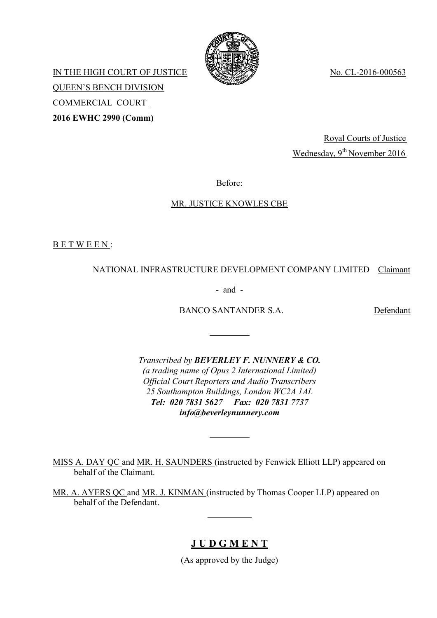

IN THE HIGH COURT OF JUSTICE WAS SERVED No. CL-2016-000563 QUEEN'S BENCH DIVISION COMMERCIAL COURT **2016 EWHC 2990 (Comm)**

> Royal Courts of Justice Wednesday, 9<sup>th</sup> November 2016

Before:

## MR. JUSTICE KNOWLES CBE

B E T W E E N :

## NATIONAL INFRASTRUCTURE DEVELOPMENT COMPANY LIMITED Claimant

- and -

BANCO SANTANDER S.A. Defendant

*Transcribed by BEVERLEY F. NUNNERY & CO. (a trading name of Opus 2 International Limited) Official Court Reporters and Audio Transcribers 25 Southampton Buildings, London WC2A 1AL Tel: 020 7831 5627 Fax: 020 7831 7737 info@beverleynunnery.com*

MISS A. DAY QC and MR. H. SAUNDERS (instructed by Fenwick Elliott LLP) appeared on behalf of the Claimant.

MR. A. AYERS QC and MR. J. KINMAN (instructed by Thomas Cooper LLP) appeared on behalf of the Defendant.

## **J U D G M E N T**

(As approved by the Judge)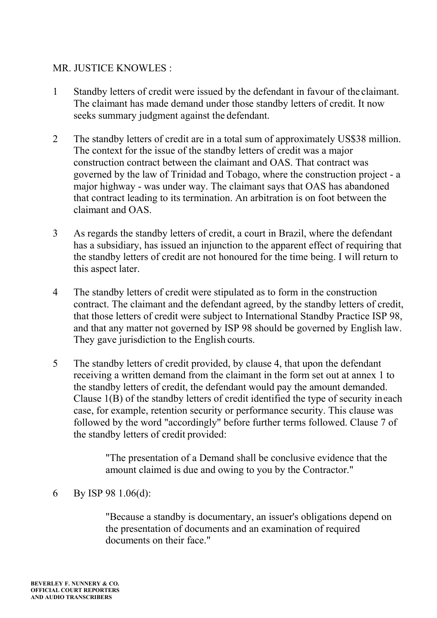## MR. JUSTICE KNOWLES :

- 1 Standby letters of credit were issued by the defendant in favour of the claimant. The claimant has made demand under those standby letters of credit. It now seeks summary judgment against the defendant.
- 2 The standby letters of credit are in a total sum of approximately US\$38 million. The context for the issue of the standby letters of credit was a major construction contract between the claimant and OAS. That contract was governed by the law of Trinidad and Tobago, where the construction project - a major highway - was under way. The claimant says that OAS has abandoned that contract leading to its termination. An arbitration is on foot between the claimant and OAS.
- 3 As regards the standby letters of credit, a court in Brazil, where the defendant has a subsidiary, has issued an injunction to the apparent effect of requiring that the standby letters of credit are not honoured for the time being. I will return to this aspect later.
- 4 The standby letters of credit were stipulated as to form in the construction contract. The claimant and the defendant agreed, by the standby letters of credit, that those letters of credit were subject to International Standby Practice ISP 98, and that any matter not governed by ISP 98 should be governed by English law. They gave jurisdiction to the English courts.
- 5 The standby letters of credit provided, by clause 4, that upon the defendant receiving a written demand from the claimant in the form set out at annex 1 to the standby letters of credit, the defendant would pay the amount demanded. Clause 1(B) of the standby letters of credit identified the type of security ineach case, for example, retention security or performance security. This clause was followed by the word "accordingly" before further terms followed. Clause 7 of the standby letters of credit provided:

"The presentation of a Demand shall be conclusive evidence that the amount claimed is due and owing to you by the Contractor."

6 By ISP 98 1.06(d):

"Because a standby is documentary, an issuer's obligations depend on the presentation of documents and an examination of required documents on their face."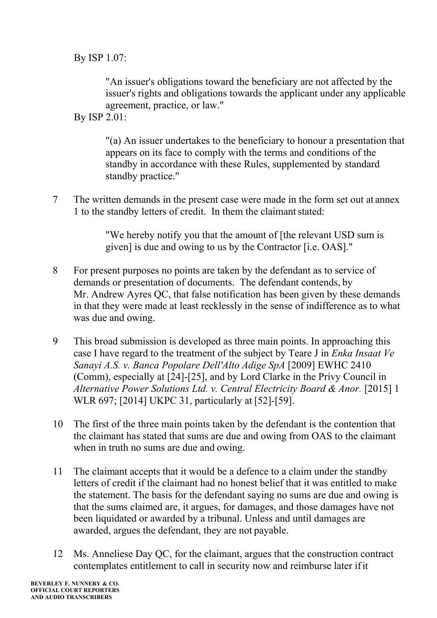By ISP 1.07:

"An issuer's obligations toward the beneficiary are not affected by the issuer's rights and obligations towards the applicant under any applicable agreement, practice, or law."

By ISP 2.01:

"(a) An issuer undertakes to the beneficiary to honour a presentation that appears on its face to comply with the terms and conditions of the standby in accordance with these Rules, supplemented by standard standby practice."

7 The written demands in the present case were made in the form set out at annex 1 to the standby letters of credit. In them the claimant stated:

> "We hereby notify you that the amount of [the relevant USD sum is given] is due and owing to us by the Contractor [i.e. OAS]."

- 8 For present purposes no points are taken by the defendant as to service of demands or presentation of documents. The defendant contends, by Mr. Andrew Ayres QC, that false notification has been given by these demands in that they were made at least recklessly in the sense of indifference as to what was due and owing.
- 9 This broad submission is developed as three main points. In approaching this case I have regard to the treatment of the subject by Teare J in *Enka Insaat Ve Sanayi A.S. v. Banca Popolare Dell'Alto Adige SpA* [2009] EWHC 2410 (Comm), especially at [24]-[25], and by Lord Clarke in the Privy Council in Alternative Power Solutions Ltd. v. Central Electricity Board & Anor. [2015] 1 WLR 697; [2014] UKPC 31, particularly at [52]-[59].
- 10 The first of the three main points taken by the defendant is the contention that the claimant has stated that sums are due and owing from OAS to the claimant when in truth no sums are due and owing.
- 11 The claimant accepts that it would be a defence to a claim under the standby letters of credit if the claimant had no honest belief that it was entitled to make the statement. The basis for the defendant saying no sums are due and owing is that the sums claimed are, it argues, for damages, and those damages have not been liquidated or awarded by a tribunal. Unless and until damages are awarded, argues the defendant, they are not payable.
- 12 Ms. Anneliese Day QC, for the claimant, argues that the construction contract contemplates entitlement to call in security now and reimburse later ifit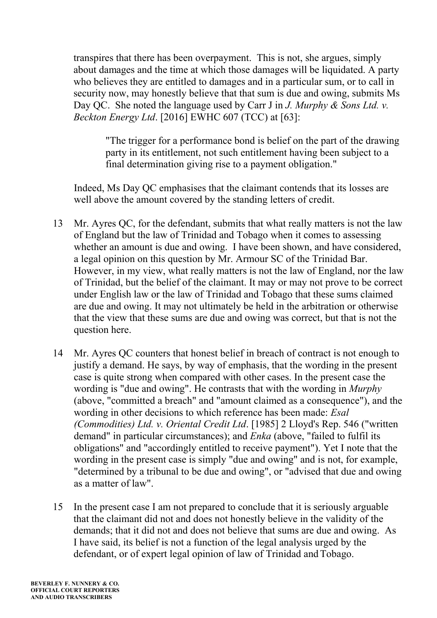transpires that there has been overpayment. This is not, she argues, simply about damages and the time at which those damages will be liquidated. A party who believes they are entitled to damages and in a particular sum, or to call in security now, may honestly believe that that sum is due and owing, submits Ms Day QC. She noted the language used by Carr J in *J. Murphy & Sons Ltd. v. Beckton Energy Ltd*. [2016] EWHC 607 (TCC) at [63]:

"The trigger for a performance bond is belief on the part of the drawing party in its entitlement, not such entitlement having been subject to a final determination giving rise to a payment obligation."

Indeed, Ms Day QC emphasises that the claimant contends that its losses are well above the amount covered by the standing letters of credit.

- 13 Mr. Ayres QC, for the defendant, submits that what really matters is not the law of England but the law of Trinidad and Tobago when it comes to assessing whether an amount is due and owing. I have been shown, and have considered, a legal opinion on this question by Mr. Armour SC of the Trinidad Bar. However, in my view, what really matters is not the law of England, nor the law of Trinidad, but the belief of the claimant. It may or may not prove to be correct under English law or the law of Trinidad and Tobago that these sums claimed are due and owing. It may not ultimately be held in the arbitration or otherwise that the view that these sums are due and owing was correct, but that is not the question here.
- 14 Mr. Ayres QC counters that honest belief in breach of contract is not enough to justify a demand. He says, by way of emphasis, that the wording in the present case is quite strong when compared with other cases. In the present case the wording is "due and owing". He contrasts that with the wording in *Murphy*  (above, "committed a breach" and "amount claimed as a consequence"), and the wording in other decisions to which reference has been made: *Esal (Commodities) Ltd. v. Oriental Credit Ltd*. [1985] 2 Lloyd's Rep. 546 ("written demand" in particular circumstances); and *Enka* (above, "failed to fulfil its obligations" and "accordingly entitled to receive payment"). Yet I note that the wording in the present case is simply "due and owing" and is not, for example, "determined by a tribunal to be due and owing", or "advised that due and owing as a matter of law".
- 15 In the present case I am not prepared to conclude that it is seriously arguable that the claimant did not and does not honestly believe in the validity of the demands; that it did not and does not believe that sums are due and owing. As I have said, its belief is not a function of the legal analysis urged by the defendant, or of expert legal opinion of law of Trinidad and Tobago.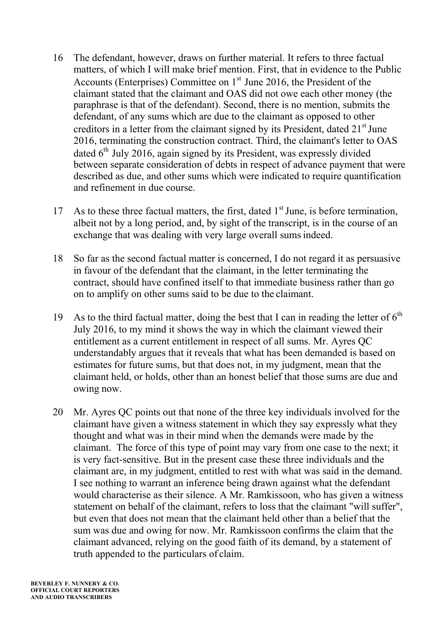- 16 The defendant, however, draws on further material. It refers to three factual matters, of which I will make brief mention. First, that in evidence to the Public Accounts (Enterprises) Committee on  $1<sup>st</sup>$  June 2016, the President of the claimant stated that the claimant and OAS did not owe each other money (the paraphrase is that of the defendant). Second, there is no mention, submits the defendant, of any sums which are due to the claimant as opposed to other creditors in a letter from the claimant signed by its President, dated  $21<sup>st</sup>$  June 2016, terminating the construction contract. Third, the claimant's letter to OAS dated  $6<sup>th</sup>$  July 2016, again signed by its President, was expressly divided between separate consideration of debts in respect of advance payment that were described as due, and other sums which were indicated to require quantification and refinement in due course.
- 17 As to these three factual matters, the first, dated  $1<sup>st</sup>$  June, is before termination, albeit not by a long period, and, by sight of the transcript, is in the course of an exchange that was dealing with very large overall sumsindeed.
- 18 So far as the second factual matter is concerned, I do not regard it as persuasive in favour of the defendant that the claimant, in the letter terminating the contract, should have confined itself to that immediate business rather than go on to amplify on other sums said to be due to the claimant.
- 19 As to the third factual matter, doing the best that I can in reading the letter of  $6<sup>th</sup>$ July 2016, to my mind it shows the way in which the claimant viewed their entitlement as a current entitlement in respect of all sums. Mr. Ayres QC understandably argues that it reveals that what has been demanded is based on estimates for future sums, but that does not, in my judgment, mean that the claimant held, or holds, other than an honest belief that those sums are due and owing now.
- 20 Mr. Ayres QC points out that none of the three key individuals involved for the claimant have given a witness statement in which they say expressly what they thought and what was in their mind when the demands were made by the claimant. The force of this type of point may vary from one case to the next; it is very fact-sensitive. But in the present case these three individuals and the claimant are, in my judgment, entitled to rest with what was said in the demand. I see nothing to warrant an inference being drawn against what the defendant would characterise as their silence. A Mr. Ramkissoon, who has given a witness statement on behalf of the claimant, refers to loss that the claimant "will suffer", but even that does not mean that the claimant held other than a belief that the sum was due and owing for now. Mr. Ramkissoon confirms the claim that the claimant advanced, relying on the good faith of its demand, by a statement of truth appended to the particulars of claim.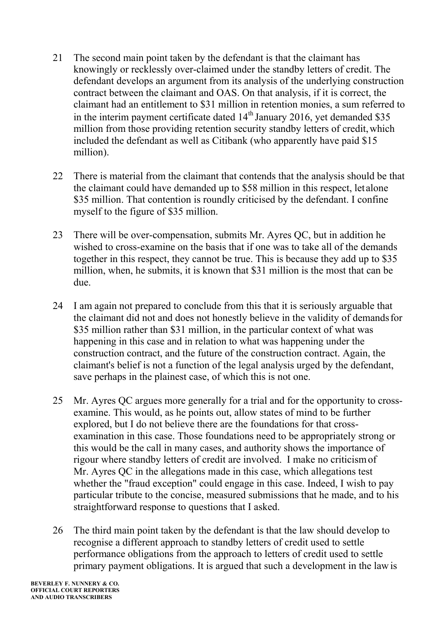- 21 The second main point taken by the defendant is that the claimant has knowingly or recklessly over-claimed under the standby letters of credit. The defendant develops an argument from its analysis of the underlying construction contract between the claimant and OAS. On that analysis, if it is correct, the claimant had an entitlement to \$31 million in retention monies, a sum referred to in the interim payment certificate dated  $14<sup>th</sup>$  January 2016, yet demanded \$35 million from those providing retention security standby letters of credit, which included the defendant as well as Citibank (who apparently have paid \$15 million).
- 22 There is material from the claimant that contends that the analysis should be that the claimant could have demanded up to \$58 million in this respect, letalone \$35 million. That contention is roundly criticised by the defendant. I confine myself to the figure of \$35 million.
- 23 There will be over-compensation, submits Mr. Ayres QC, but in addition he wished to cross-examine on the basis that if one was to take all of the demands together in this respect, they cannot be true. This is because they add up to \$35 million, when, he submits, it is known that \$31 million is the most that can be due.
- 24 I am again not prepared to conclude from this that it is seriously arguable that the claimant did not and does not honestly believe in the validity of demandsfor \$35 million rather than \$31 million, in the particular context of what was happening in this case and in relation to what was happening under the construction contract, and the future of the construction contract. Again, the claimant's belief is not a function of the legal analysis urged by the defendant, save perhaps in the plainest case, of which this is not one.
- 25 Mr. Ayres QC argues more generally for a trial and for the opportunity to crossexamine. This would, as he points out, allow states of mind to be further explored, but I do not believe there are the foundations for that crossexamination in this case. Those foundations need to be appropriately strong or this would be the call in many cases, and authority shows the importance of rigour where standby letters of credit are involved. I make no criticismof Mr. Ayres OC in the allegations made in this case, which allegations test whether the "fraud exception" could engage in this case. Indeed, I wish to pay particular tribute to the concise, measured submissions that he made, and to his straightforward response to questions that I asked.
- 26 The third main point taken by the defendant is that the law should develop to recognise a different approach to standby letters of credit used to settle performance obligations from the approach to letters of credit used to settle primary payment obligations. It is argued that such a development in the lawis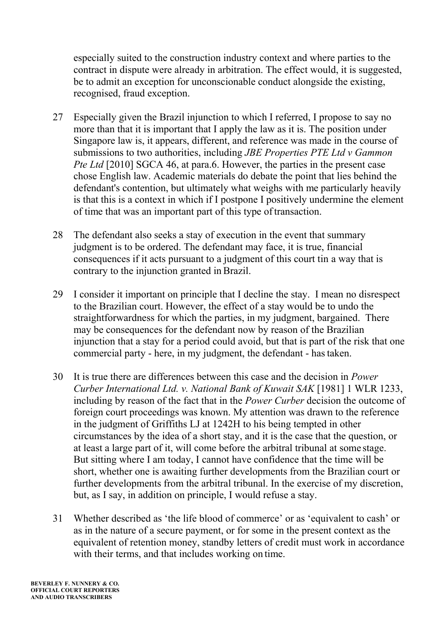especially suited to the construction industry context and where parties to the contract in dispute were already in arbitration. The effect would, it is suggested, be to admit an exception for unconscionable conduct alongside the existing, recognised, fraud exception.

- 27 Especially given the Brazil injunction to which I referred, I propose to say no more than that it is important that I apply the law as it is. The position under Singapore law is, it appears, different, and reference was made in the course of submissions to two authorities, including *JBE Properties PTE Ltd v Gammon Pte Ltd* [2010] SGCA 46, at para.6. However, the parties in the present case chose English law. Academic materials do debate the point that lies behind the defendant's contention, but ultimately what weighs with me particularly heavily is that this is a context in which if I postpone I positively undermine the element of time that was an important part of this type oftransaction.
- 28 The defendant also seeks a stay of execution in the event that summary judgment is to be ordered. The defendant may face, it is true, financial consequences if it acts pursuant to a judgment of this court tin a way that is contrary to the injunction granted in Brazil.
- 29 I consider it important on principle that I decline the stay. I mean no disrespect to the Brazilian court. However, the effect of a stay would be to undo the straightforwardness for which the parties, in my judgment, bargained. There may be consequences for the defendant now by reason of the Brazilian injunction that a stay for a period could avoid, but that is part of the risk that one commercial party - here, in my judgment, the defendant - hastaken.
- 30 It is true there are differences between this case and the decision in *Power Curber International Ltd. v. National Bank of Kuwait SAK* [1981] 1 WLR 1233, including by reason of the fact that in the *Power Curber* decision the outcome of foreign court proceedings was known. My attention was drawn to the reference in the judgment of Griffiths LJ at 1242H to his being tempted in other circumstances by the idea of a short stay, and it is the case that the question, or at least a large part of it, will come before the arbitral tribunal at some stage. But sitting where I am today, I cannot have confidence that the time will be short, whether one is awaiting further developments from the Brazilian court or further developments from the arbitral tribunal. In the exercise of my discretion, but, as I say, in addition on principle, I would refuse a stay.
- 31 Whether described as 'the life blood of commerce' or as 'equivalent to cash' or as in the nature of a secure payment, or for some in the present context as the equivalent of retention money, standby letters of credit must work in accordance with their terms, and that includes working on time.